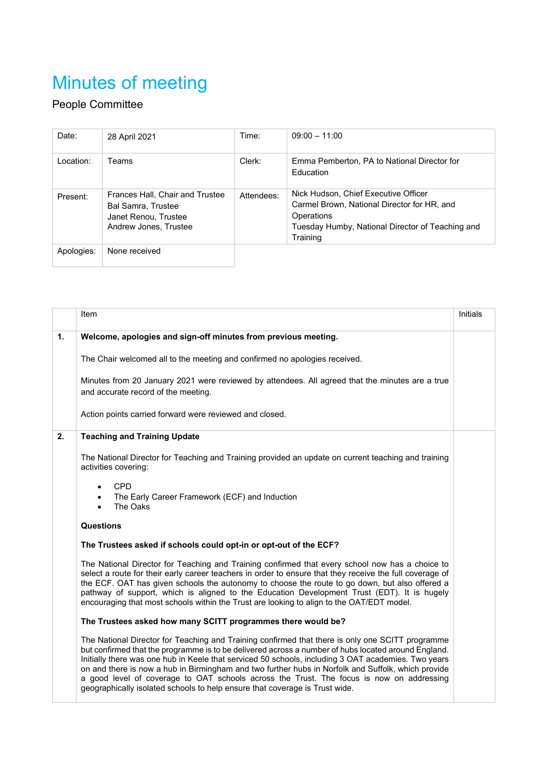## Minutes of meeting

## People Committee

| Date:      | 28 April 2021                                                                                                 | Time:      | $09:00 - 11:00$                                                                                                                                                   |
|------------|---------------------------------------------------------------------------------------------------------------|------------|-------------------------------------------------------------------------------------------------------------------------------------------------------------------|
| I ocation: | Teams                                                                                                         | Clerk:     | Emma Pemberton, PA to National Director for<br><b>Education</b>                                                                                                   |
| Present:   | Frances Hall, Chair and Trustee<br><b>Bal Samra, Trustee</b><br>Janet Renou, Trustee<br>Andrew Jones, Trustee | Attendees: | Nick Hudson, Chief Executive Officer<br>Carmel Brown, National Director for HR, and<br>Operations<br>Tuesday Humby, National Director of Teaching and<br>Training |
| Apologies: | None received                                                                                                 |            |                                                                                                                                                                   |

|                | Item                                                                                                                                                                                                                                                                                                                                                                                                                                                                                                                                                                                            | Initials |
|----------------|-------------------------------------------------------------------------------------------------------------------------------------------------------------------------------------------------------------------------------------------------------------------------------------------------------------------------------------------------------------------------------------------------------------------------------------------------------------------------------------------------------------------------------------------------------------------------------------------------|----------|
| $\mathbf{1}$ . | Welcome, apologies and sign-off minutes from previous meeting.                                                                                                                                                                                                                                                                                                                                                                                                                                                                                                                                  |          |
|                | The Chair welcomed all to the meeting and confirmed no apologies received.                                                                                                                                                                                                                                                                                                                                                                                                                                                                                                                      |          |
|                | Minutes from 20 January 2021 were reviewed by attendees. All agreed that the minutes are a true<br>and accurate record of the meeting.                                                                                                                                                                                                                                                                                                                                                                                                                                                          |          |
|                | Action points carried forward were reviewed and closed.                                                                                                                                                                                                                                                                                                                                                                                                                                                                                                                                         |          |
| 2.             | <b>Teaching and Training Update</b>                                                                                                                                                                                                                                                                                                                                                                                                                                                                                                                                                             |          |
|                | The National Director for Teaching and Training provided an update on current teaching and training<br>activities covering:                                                                                                                                                                                                                                                                                                                                                                                                                                                                     |          |
|                | <b>CPD</b><br>$\bullet$<br>The Early Career Framework (ECF) and Induction<br>The Oaks<br>$\bullet$                                                                                                                                                                                                                                                                                                                                                                                                                                                                                              |          |
|                | <b>Questions</b>                                                                                                                                                                                                                                                                                                                                                                                                                                                                                                                                                                                |          |
|                | The Trustees asked if schools could opt-in or opt-out of the ECF?                                                                                                                                                                                                                                                                                                                                                                                                                                                                                                                               |          |
|                | The National Director for Teaching and Training confirmed that every school now has a choice to<br>select a route for their early career teachers in order to ensure that they receive the full coverage of<br>the ECF. OAT has given schools the autonomy to choose the route to go down, but also offered a<br>pathway of support, which is aligned to the Education Development Trust (EDT). It is hugely<br>encouraging that most schools within the Trust are looking to align to the OAT/EDT model.                                                                                       |          |
|                | The Trustees asked how many SCITT programmes there would be?                                                                                                                                                                                                                                                                                                                                                                                                                                                                                                                                    |          |
|                | The National Director for Teaching and Training confirmed that there is only one SCITT programme<br>but confirmed that the programme is to be delivered across a number of hubs located around England.<br>Initially there was one hub in Keele that serviced 50 schools, including 3 OAT academies. Two years<br>on and there is now a hub in Birmingham and two further hubs in Norfolk and Suffolk, which provide<br>a good level of coverage to OAT schools across the Trust. The focus is now on addressing<br>geographically isolated schools to help ensure that coverage is Trust wide. |          |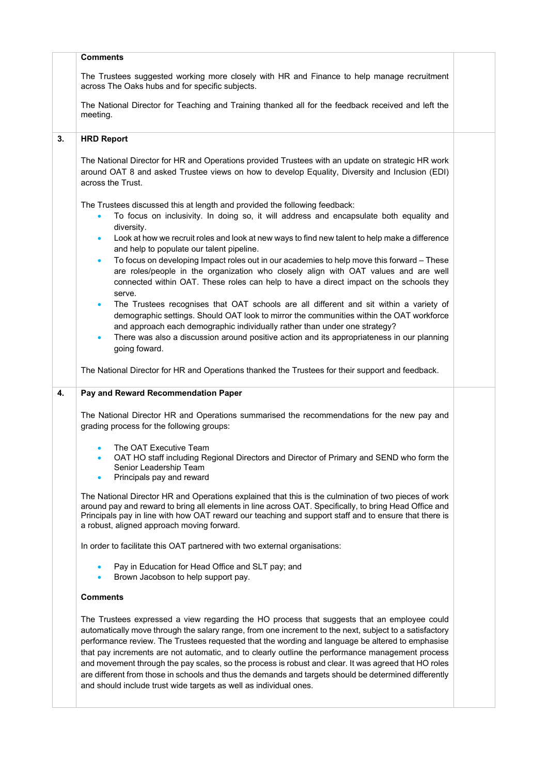|    | <b>Comments</b>                                                                                                                                                                                                                                                                                                                                                                                                                                                                                                                                                                                                                                                                                     |  |
|----|-----------------------------------------------------------------------------------------------------------------------------------------------------------------------------------------------------------------------------------------------------------------------------------------------------------------------------------------------------------------------------------------------------------------------------------------------------------------------------------------------------------------------------------------------------------------------------------------------------------------------------------------------------------------------------------------------------|--|
|    | The Trustees suggested working more closely with HR and Finance to help manage recruitment<br>across The Oaks hubs and for specific subjects.                                                                                                                                                                                                                                                                                                                                                                                                                                                                                                                                                       |  |
|    | The National Director for Teaching and Training thanked all for the feedback received and left the<br>meeting.                                                                                                                                                                                                                                                                                                                                                                                                                                                                                                                                                                                      |  |
| 3. | <b>HRD Report</b>                                                                                                                                                                                                                                                                                                                                                                                                                                                                                                                                                                                                                                                                                   |  |
|    | The National Director for HR and Operations provided Trustees with an update on strategic HR work<br>around OAT 8 and asked Trustee views on how to develop Equality, Diversity and Inclusion (EDI)<br>across the Trust.                                                                                                                                                                                                                                                                                                                                                                                                                                                                            |  |
|    | The Trustees discussed this at length and provided the following feedback:<br>To focus on inclusivity. In doing so, it will address and encapsulate both equality and<br>$\bullet$<br>diversity.                                                                                                                                                                                                                                                                                                                                                                                                                                                                                                    |  |
|    | Look at how we recruit roles and look at new ways to find new talent to help make a difference<br>$\bullet$<br>and help to populate our talent pipeline.                                                                                                                                                                                                                                                                                                                                                                                                                                                                                                                                            |  |
|    | To focus on developing Impact roles out in our academies to help move this forward - These<br>$\bullet$<br>are roles/people in the organization who closely align with OAT values and are well<br>connected within OAT. These roles can help to have a direct impact on the schools they<br>serve.                                                                                                                                                                                                                                                                                                                                                                                                  |  |
|    | The Trustees recognises that OAT schools are all different and sit within a variety of<br>$\bullet$<br>demographic settings. Should OAT look to mirror the communities within the OAT workforce<br>and approach each demographic individually rather than under one strategy?<br>There was also a discussion around positive action and its appropriateness in our planning<br>$\bullet$<br>going foward.                                                                                                                                                                                                                                                                                           |  |
|    |                                                                                                                                                                                                                                                                                                                                                                                                                                                                                                                                                                                                                                                                                                     |  |
|    | The National Director for HR and Operations thanked the Trustees for their support and feedback.                                                                                                                                                                                                                                                                                                                                                                                                                                                                                                                                                                                                    |  |
| 4. | Pay and Reward Recommendation Paper                                                                                                                                                                                                                                                                                                                                                                                                                                                                                                                                                                                                                                                                 |  |
|    | The National Director HR and Operations summarised the recommendations for the new pay and<br>grading process for the following groups:                                                                                                                                                                                                                                                                                                                                                                                                                                                                                                                                                             |  |
|    | The OAT Executive Team<br>OAT HO staff including Regional Directors and Director of Primary and SEND who form the<br>$\bullet$<br>Senior Leadership Team<br>Principals pay and reward                                                                                                                                                                                                                                                                                                                                                                                                                                                                                                               |  |
|    | The National Director HR and Operations explained that this is the culmination of two pieces of work<br>around pay and reward to bring all elements in line across OAT. Specifically, to bring Head Office and<br>Principals pay in line with how OAT reward our teaching and support staff and to ensure that there is<br>a robust, aligned approach moving forward.                                                                                                                                                                                                                                                                                                                               |  |
|    | In order to facilitate this OAT partnered with two external organisations:                                                                                                                                                                                                                                                                                                                                                                                                                                                                                                                                                                                                                          |  |
|    | Pay in Education for Head Office and SLT pay; and<br>$\bullet$<br>Brown Jacobson to help support pay.<br>$\bullet$                                                                                                                                                                                                                                                                                                                                                                                                                                                                                                                                                                                  |  |
|    | <b>Comments</b>                                                                                                                                                                                                                                                                                                                                                                                                                                                                                                                                                                                                                                                                                     |  |
|    | The Trustees expressed a view regarding the HO process that suggests that an employee could<br>automatically move through the salary range, from one increment to the next, subject to a satisfactory<br>performance review. The Trustees requested that the wording and language be altered to emphasise<br>that pay increments are not automatic, and to clearly outline the performance management process<br>and movement through the pay scales, so the process is robust and clear. It was agreed that HO roles<br>are different from those in schools and thus the demands and targets should be determined differently<br>and should include trust wide targets as well as individual ones. |  |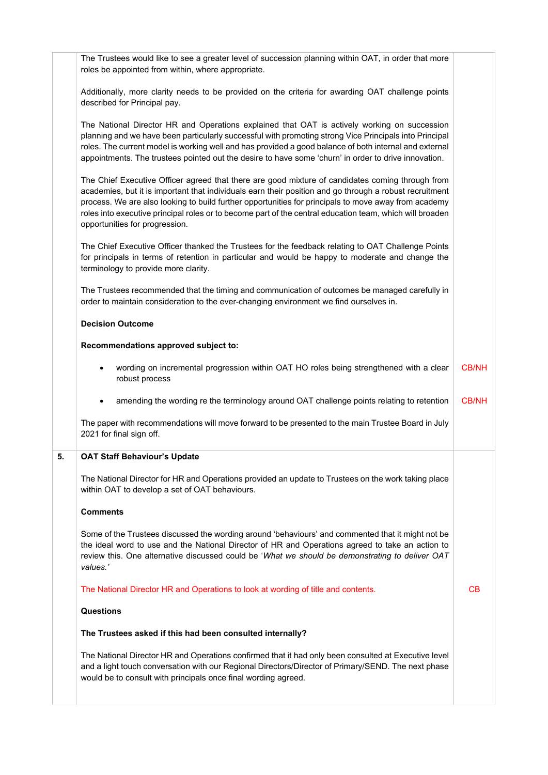| The National Director HR and Operations confirmed that it had only been consulted at Executive level<br>and a light touch conversation with our Regional Directors/Director of Primary/SEND. The next phase<br>would be to consult with principals once final wording agreed.                                                                                                                                                                                     |              |
|-------------------------------------------------------------------------------------------------------------------------------------------------------------------------------------------------------------------------------------------------------------------------------------------------------------------------------------------------------------------------------------------------------------------------------------------------------------------|--------------|
| The Trustees asked if this had been consulted internally?                                                                                                                                                                                                                                                                                                                                                                                                         |              |
| <b>Questions</b>                                                                                                                                                                                                                                                                                                                                                                                                                                                  |              |
| The National Director HR and Operations to look at wording of title and contents.                                                                                                                                                                                                                                                                                                                                                                                 | CB           |
| Some of the Trustees discussed the wording around 'behaviours' and commented that it might not be<br>the ideal word to use and the National Director of HR and Operations agreed to take an action to<br>review this. One alternative discussed could be 'What we should be demonstrating to deliver OAT<br>values.'                                                                                                                                              |              |
| <b>Comments</b>                                                                                                                                                                                                                                                                                                                                                                                                                                                   |              |
| The National Director for HR and Operations provided an update to Trustees on the work taking place<br>within OAT to develop a set of OAT behaviours.                                                                                                                                                                                                                                                                                                             |              |
| <b>OAT Staff Behaviour's Update</b>                                                                                                                                                                                                                                                                                                                                                                                                                               |              |
| The paper with recommendations will move forward to be presented to the main Trustee Board in July<br>2021 for final sign off.                                                                                                                                                                                                                                                                                                                                    |              |
| amending the wording re the terminology around OAT challenge points relating to retention                                                                                                                                                                                                                                                                                                                                                                         | <b>CB/NH</b> |
| wording on incremental progression within OAT HO roles being strengthened with a clear<br>robust process                                                                                                                                                                                                                                                                                                                                                          | <b>CB/NH</b> |
| Recommendations approved subject to:                                                                                                                                                                                                                                                                                                                                                                                                                              |              |
| <b>Decision Outcome</b>                                                                                                                                                                                                                                                                                                                                                                                                                                           |              |
| The Trustees recommended that the timing and communication of outcomes be managed carefully in<br>order to maintain consideration to the ever-changing environment we find ourselves in.                                                                                                                                                                                                                                                                          |              |
| The Chief Executive Officer thanked the Trustees for the feedback relating to OAT Challenge Points<br>for principals in terms of retention in particular and would be happy to moderate and change the<br>terminology to provide more clarity.                                                                                                                                                                                                                    |              |
| The Chief Executive Officer agreed that there are good mixture of candidates coming through from<br>academies, but it is important that individuals earn their position and go through a robust recruitment<br>process. We are also looking to build further opportunities for principals to move away from academy<br>roles into executive principal roles or to become part of the central education team, which will broaden<br>opportunities for progression. |              |
| The National Director HR and Operations explained that OAT is actively working on succession<br>planning and we have been particularly successful with promoting strong Vice Principals into Principal<br>roles. The current model is working well and has provided a good balance of both internal and external<br>appointments. The trustees pointed out the desire to have some 'churn' in order to drive innovation.                                          |              |
| Additionally, more clarity needs to be provided on the criteria for awarding OAT challenge points<br>described for Principal pay.                                                                                                                                                                                                                                                                                                                                 |              |
| roles be appointed from within, where appropriate.                                                                                                                                                                                                                                                                                                                                                                                                                |              |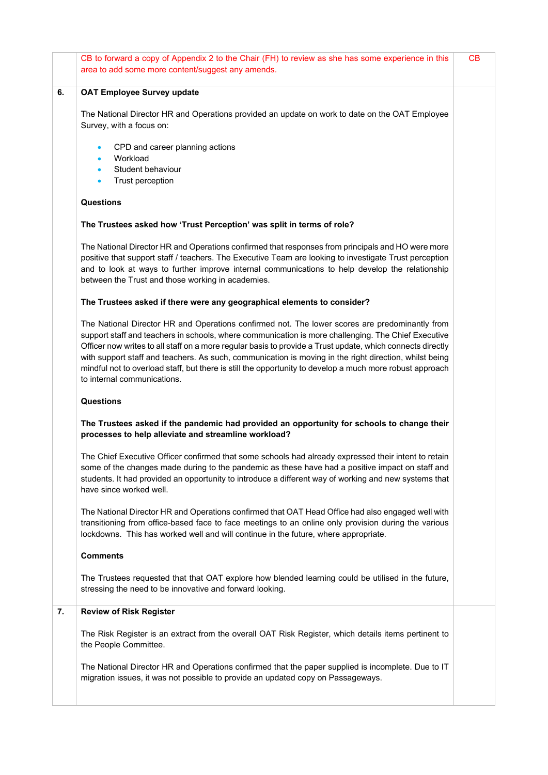|    | CB to forward a copy of Appendix 2 to the Chair (FH) to review as she has some experience in this<br>area to add some more content/suggest any amends.                                                                                                                                                                                                                                                                                                                                                                                                                   | CВ |
|----|--------------------------------------------------------------------------------------------------------------------------------------------------------------------------------------------------------------------------------------------------------------------------------------------------------------------------------------------------------------------------------------------------------------------------------------------------------------------------------------------------------------------------------------------------------------------------|----|
| 6. | <b>OAT Employee Survey update</b>                                                                                                                                                                                                                                                                                                                                                                                                                                                                                                                                        |    |
|    | The National Director HR and Operations provided an update on work to date on the OAT Employee<br>Survey, with a focus on:                                                                                                                                                                                                                                                                                                                                                                                                                                               |    |
|    | CPD and career planning actions<br>Workload<br>Student behaviour                                                                                                                                                                                                                                                                                                                                                                                                                                                                                                         |    |
|    | Trust perception                                                                                                                                                                                                                                                                                                                                                                                                                                                                                                                                                         |    |
|    | Questions                                                                                                                                                                                                                                                                                                                                                                                                                                                                                                                                                                |    |
|    | The Trustees asked how 'Trust Perception' was split in terms of role?                                                                                                                                                                                                                                                                                                                                                                                                                                                                                                    |    |
|    | The National Director HR and Operations confirmed that responses from principals and HO were more<br>positive that support staff / teachers. The Executive Team are looking to investigate Trust perception<br>and to look at ways to further improve internal communications to help develop the relationship<br>between the Trust and those working in academies.                                                                                                                                                                                                      |    |
|    | The Trustees asked if there were any geographical elements to consider?                                                                                                                                                                                                                                                                                                                                                                                                                                                                                                  |    |
|    | The National Director HR and Operations confirmed not. The lower scores are predominantly from<br>support staff and teachers in schools, where communication is more challenging. The Chief Executive<br>Officer now writes to all staff on a more regular basis to provide a Trust update, which connects directly<br>with support staff and teachers. As such, communication is moving in the right direction, whilst being<br>mindful not to overload staff, but there is still the opportunity to develop a much more robust approach<br>to internal communications. |    |
|    | Questions                                                                                                                                                                                                                                                                                                                                                                                                                                                                                                                                                                |    |
|    | The Trustees asked if the pandemic had provided an opportunity for schools to change their<br>processes to help alleviate and streamline workload?                                                                                                                                                                                                                                                                                                                                                                                                                       |    |
|    | The Chief Executive Officer confirmed that some schools had already expressed their intent to retain<br>some of the changes made during to the pandemic as these have had a positive impact on staff and<br>students. It had provided an opportunity to introduce a different way of working and new systems that<br>have since worked well.                                                                                                                                                                                                                             |    |
|    | The National Director HR and Operations confirmed that OAT Head Office had also engaged well with<br>transitioning from office-based face to face meetings to an online only provision during the various<br>lockdowns. This has worked well and will continue in the future, where appropriate.                                                                                                                                                                                                                                                                         |    |
|    | <b>Comments</b>                                                                                                                                                                                                                                                                                                                                                                                                                                                                                                                                                          |    |
|    | The Trustees requested that that OAT explore how blended learning could be utilised in the future,<br>stressing the need to be innovative and forward looking.                                                                                                                                                                                                                                                                                                                                                                                                           |    |
| 7. | <b>Review of Risk Register</b>                                                                                                                                                                                                                                                                                                                                                                                                                                                                                                                                           |    |
|    | The Risk Register is an extract from the overall OAT Risk Register, which details items pertinent to<br>the People Committee.                                                                                                                                                                                                                                                                                                                                                                                                                                            |    |
|    | The National Director HR and Operations confirmed that the paper supplied is incomplete. Due to IT<br>migration issues, it was not possible to provide an updated copy on Passageways.                                                                                                                                                                                                                                                                                                                                                                                   |    |
|    |                                                                                                                                                                                                                                                                                                                                                                                                                                                                                                                                                                          |    |